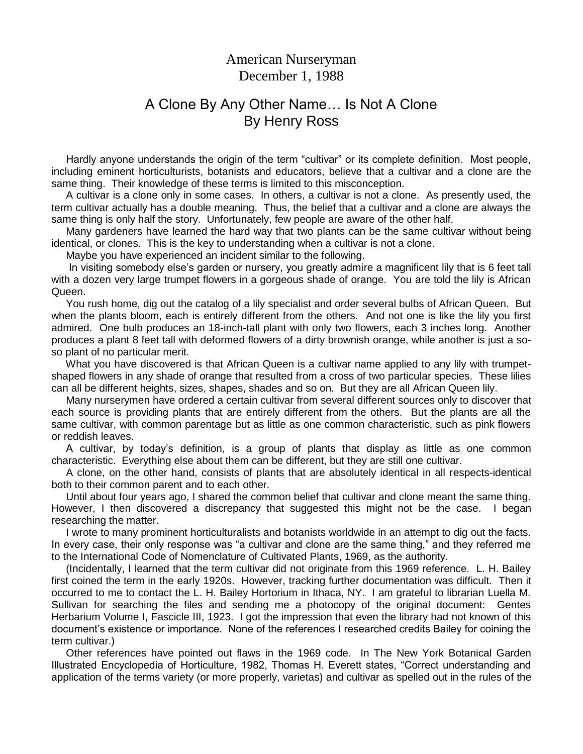## American Nurseryman December 1, 1988

## A Clone By Any Other Name… Is Not A Clone By Henry Ross

 Hardly anyone understands the origin of the term "cultivar" or its complete definition. Most people, including eminent horticulturists, botanists and educators, believe that a cultivar and a clone are the same thing. Their knowledge of these terms is limited to this misconception.

 A cultivar is a clone only in some cases. In others, a cultivar is not a clone. As presently used, the term cultivar actually has a double meaning. Thus, the belief that a cultivar and a clone are always the same thing is only half the story. Unfortunately, few people are aware of the other half.

 Many gardeners have learned the hard way that two plants can be the same cultivar without being identical, or clones. This is the key to understanding when a cultivar is not a clone.

Maybe you have experienced an incident similar to the following.

 In visiting somebody else's garden or nursery, you greatly admire a magnificent lily that is 6 feet tall with a dozen very large trumpet flowers in a gorgeous shade of orange. You are told the lily is African Queen.

 You rush home, dig out the catalog of a lily specialist and order several bulbs of African Queen. But when the plants bloom, each is entirely different from the others. And not one is like the lily you first admired. One bulb produces an 18-inch-tall plant with only two flowers, each 3 inches long. Another produces a plant 8 feet tall with deformed flowers of a dirty brownish orange, while another is just a soso plant of no particular merit.

 What you have discovered is that African Queen is a cultivar name applied to any lily with trumpetshaped flowers in any shade of orange that resulted from a cross of two particular species. These lilies can all be different heights, sizes, shapes, shades and so on. But they are all African Queen lily.

 Many nurserymen have ordered a certain cultivar from several different sources only to discover that each source is providing plants that are entirely different from the others. But the plants are all the same cultivar, with common parentage but as little as one common characteristic, such as pink flowers or reddish leaves.

 A cultivar, by today's definition, is a group of plants that display as little as one common characteristic. Everything else about them can be different, but they are still one cultivar.

 A clone, on the other hand, consists of plants that are absolutely identical in all respects-identical both to their common parent and to each other.

 Until about four years ago, I shared the common belief that cultivar and clone meant the same thing. However, I then discovered a discrepancy that suggested this might not be the case. I began researching the matter.

 I wrote to many prominent horticulturalists and botanists worldwide in an attempt to dig out the facts. In every case, their only response was "a cultivar and clone are the same thing," and they referred me to the International Code of Nomenclature of Cultivated Plants, 1969, as the authority.

 (Incidentally, I learned that the term cultivar did not originate from this 1969 reference. L. H. Bailey first coined the term in the early 1920s. However, tracking further documentation was difficult. Then it occurred to me to contact the L. H. Bailey Hortorium in Ithaca, NY. I am grateful to librarian Luella M. Sullivan for searching the files and sending me a photocopy of the original document: Gentes Herbarium Volume I, Fascicle III, 1923. I got the impression that even the library had not known of this document's existence or importance. None of the references I researched credits Bailey for coining the term cultivar.)

 Other references have pointed out flaws in the 1969 code. In The New York Botanical Garden Illustrated Encyclopedia of Horticulture, 1982, Thomas H. Everett states, "Correct understanding and application of the terms variety (or more properly, varietas) and cultivar as spelled out in the rules of the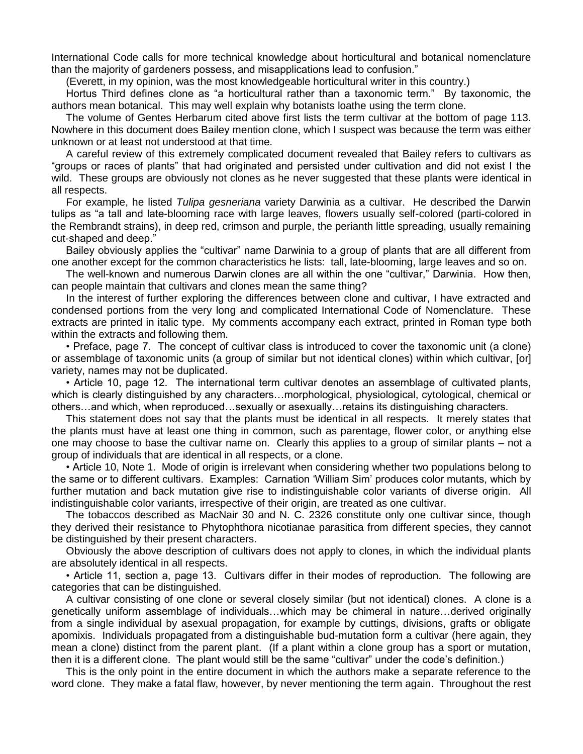International Code calls for more technical knowledge about horticultural and botanical nomenclature than the majority of gardeners possess, and misapplications lead to confusion."

(Everett, in my opinion, was the most knowledgeable horticultural writer in this country.)

 Hortus Third defines clone as "a horticultural rather than a taxonomic term." By taxonomic, the authors mean botanical. This may well explain why botanists loathe using the term clone.

 The volume of Gentes Herbarum cited above first lists the term cultivar at the bottom of page 113. Nowhere in this document does Bailey mention clone, which I suspect was because the term was either unknown or at least not understood at that time.

 A careful review of this extremely complicated document revealed that Bailey refers to cultivars as "groups or races of plants" that had originated and persisted under cultivation and did not exist I the wild. These groups are obviously not clones as he never suggested that these plants were identical in all respects.

 For example, he listed *Tulipa gesneriana* variety Darwinia as a cultivar. He described the Darwin tulips as "a tall and late-blooming race with large leaves, flowers usually self-colored (parti-colored in the Rembrandt strains), in deep red, crimson and purple, the perianth little spreading, usually remaining cut-shaped and deep."

 Bailey obviously applies the "cultivar" name Darwinia to a group of plants that are all different from one another except for the common characteristics he lists: tall, late-blooming, large leaves and so on.

 The well-known and numerous Darwin clones are all within the one "cultivar," Darwinia. How then, can people maintain that cultivars and clones mean the same thing?

 In the interest of further exploring the differences between clone and cultivar, I have extracted and condensed portions from the very long and complicated International Code of Nomenclature. These extracts are printed in italic type. My comments accompany each extract, printed in Roman type both within the extracts and following them.

 • Preface, page 7. The concept of cultivar class is introduced to cover the taxonomic unit (a clone) or assemblage of taxonomic units (a group of similar but not identical clones) within which cultivar, [or] variety, names may not be duplicated.

 • Article 10, page 12. The international term cultivar denotes an assemblage of cultivated plants, which is clearly distinguished by any characters…morphological, physiological, cytological, chemical or others…and which, when reproduced…sexually or asexually…retains its distinguishing characters.

 This statement does not say that the plants must be identical in all respects. It merely states that the plants must have at least one thing in common, such as parentage, flower color, or anything else one may choose to base the cultivar name on. Clearly this applies to a group of similar plants – not a group of individuals that are identical in all respects, or a clone.

 • Article 10, Note 1. Mode of origin is irrelevant when considering whether two populations belong to the same or to different cultivars. Examples: Carnation 'William Sim' produces color mutants, which by further mutation and back mutation give rise to indistinguishable color variants of diverse origin. All indistinguishable color variants, irrespective of their origin, are treated as one cultivar.

 The tobaccos described as MacNair 30 and N. C. 2326 constitute only one cultivar since, though they derived their resistance to Phytophthora nicotianae parasitica from different species, they cannot be distinguished by their present characters.

 Obviously the above description of cultivars does not apply to clones, in which the individual plants are absolutely identical in all respects.

 • Article 11, section a, page 13. Cultivars differ in their modes of reproduction. The following are categories that can be distinguished.

 A cultivar consisting of one clone or several closely similar (but not identical) clones. A clone is a genetically uniform assemblage of individuals…which may be chimeral in nature…derived originally from a single individual by asexual propagation, for example by cuttings, divisions, grafts or obligate apomixis. Individuals propagated from a distinguishable bud-mutation form a cultivar (here again, they mean a clone) distinct from the parent plant. (If a plant within a clone group has a sport or mutation, then it is a different clone. The plant would still be the same "cultivar" under the code's definition.)

 This is the only point in the entire document in which the authors make a separate reference to the word clone. They make a fatal flaw, however, by never mentioning the term again. Throughout the rest